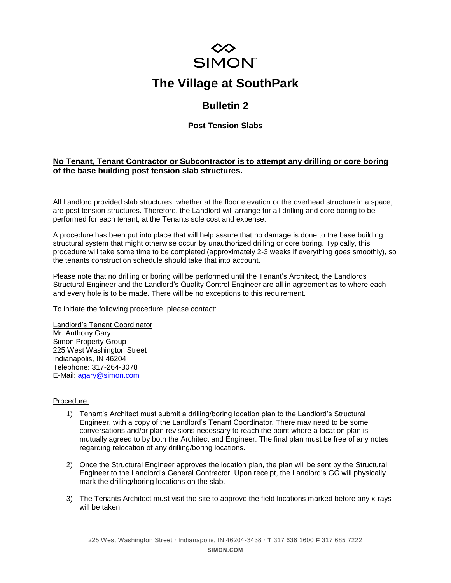

# **The Village at SouthPark**

## **Bulletin 2**

### **Post Tension Slabs**

#### **No Tenant, Tenant Contractor or Subcontractor is to attempt any drilling or core boring of the base building post tension slab structures.**

All Landlord provided slab structures, whether at the floor elevation or the overhead structure in a space, are post tension structures. Therefore, the Landlord will arrange for all drilling and core boring to be performed for each tenant, at the Tenants sole cost and expense.

A procedure has been put into place that will help assure that no damage is done to the base building structural system that might otherwise occur by unauthorized drilling or core boring. Typically, this procedure will take some time to be completed (approximately 2-3 weeks if everything goes smoothly), so the tenants construction schedule should take that into account.

Please note that no drilling or boring will be performed until the Tenant's Architect, the Landlords Structural Engineer and the Landlord's Quality Control Engineer are all in agreement as to where each and every hole is to be made. There will be no exceptions to this requirement.

To initiate the following procedure, please contact:

Landlord's Tenant Coordinator Mr. Anthony Gary Simon Property Group 225 West Washington Street Indianapolis, IN 46204 Telephone: 317-264-3078 E-Mail: [agary@simon.com](mailto:agary@simon.com)

#### Procedure:

- 1) Tenant's Architect must submit a drilling/boring location plan to the Landlord's Structural Engineer, with a copy of the Landlord's Tenant Coordinator. There may need to be some conversations and/or plan revisions necessary to reach the point where a location plan is mutually agreed to by both the Architect and Engineer. The final plan must be free of any notes regarding relocation of any drilling/boring locations.
- 2) Once the Structural Engineer approves the location plan, the plan will be sent by the Structural Engineer to the Landlord's General Contractor. Upon receipt, the Landlord's GC will physically mark the drilling/boring locations on the slab.
- 3) The Tenants Architect must visit the site to approve the field locations marked before any x-rays will be taken.